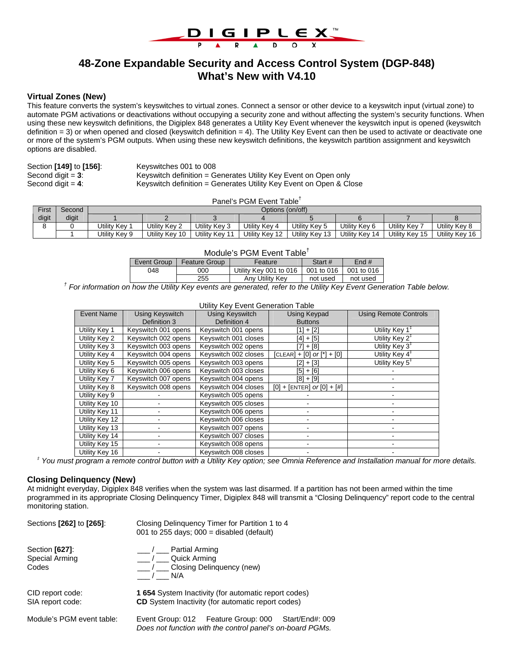

# **48-Zone Expandable Security and Access Control System (DGP-848) What's New with V4.10**

## **Virtual Zones (New)**

This feature converts the system's keyswitches to virtual zones. Connect a sensor or other device to a keyswitch input (virtual zone) to automate PGM activations or deactivations without occupying a security zone and without affecting the system's security functions. When using these new keyswitch definitions, the Digiplex 848 generates a Utility Key Event whenever the keyswitch input is opened (keyswitch definition = 3) or when opened and closed (keyswitch definition = 4). The Utility Key Event can then be used to activate or deactivate one or more of the system's PGM outputs. When using these new keyswitch definitions, the keyswitch partition assignment and keyswitch options are disabled.

| Section [149] to [156]: |  |
|-------------------------|--|
| Second digit $=$ 3:     |  |
| Second diait = $4$ :    |  |

Section **[149]** to **[156]**: Keyswitches 001 to 008 Keyswitch definition = Generates Utility Key Event on Open only Keyswitch definition = Generates Utility Key Event on Open & Close

#### Panel's PGM Event Table†

| First | Second | Options (on/off) |                |                |                |                |                |                |                |
|-------|--------|------------------|----------------|----------------|----------------|----------------|----------------|----------------|----------------|
| digit | digit  |                  |                |                |                |                |                |                |                |
|       |        | Utilitv Kev      | Jtilitv Kev 2  | Utilitv Kev 3  | Utilitv Kev 4  | Utility Kev 5  | Utility Kev 6  | Utility Kev 7  | Utility Kev 8  |
|       |        | Utility Key 9    | Jtility Key 10 | Utility Key 11 | Utility Key 12 | Utility Key 13 | Utility Key 14 | Utility Key 15 | Utility Key 16 |

#### Module's PGM Event Table†

| Event Group | <b>Feature Group</b> | Feature                | Start #                 | Find#      |  |  |  |
|-------------|----------------------|------------------------|-------------------------|------------|--|--|--|
| 048         | 000                  | Utility Key 001 to 016 | $\overline{001}$ to 016 | 001 to 016 |  |  |  |
|             | 255                  | Any Utility Key        | not used                | not used   |  |  |  |

<sup>†</sup> For information on how the Utility Key events are generated, refer to the Utility Key Event Generation Table below.

Utility Key Event Generation Table

| <b>Event Name</b> | <b>Using Keyswitch</b> | <b>Using Keyswitch</b> | Using Keypad                   | <b>Using Remote Controls</b>  |
|-------------------|------------------------|------------------------|--------------------------------|-------------------------------|
|                   | Definition 3           | Definition 4           | <b>Buttons</b>                 |                               |
| Utility Key 1     | Keyswitch 001 opens    | Keyswitch 001 opens    | $[1] + [2]$                    | Utility Key $1^{\ddagger}$    |
| Utility Key 2     | Keyswitch 002 opens    | Keyswitch 001 closes   | $[4] + [5]$                    | Utility Key $2^{\ddagger}$    |
| Utility Key 3     | Keyswitch 003 opens    | Keyswitch 002 opens    | $[7] + [8]$                    | Utility Key $3^{\ddagger}$    |
| Utility Key 4     | Keyswitch 004 opens    | Keyswitch 002 closes   | $[CLEAR] + [0] or [*] + [0]$   | Utility Key $4^{\frac{1}{4}}$ |
| Utility Key 5     | Keyswitch 005 opens    | Keyswitch 003 opens    | [2] + [3]                      | Utility Key 5 <sup>‡</sup>    |
| Utility Key 6     | Keyswitch 006 opens    | Keyswitch 003 closes   | [5] + [6]                      |                               |
| Utility Key 7     | Keyswitch 007 opens    | Keyswitch 004 opens    | [8] + [9]                      |                               |
| Utility Key 8     | Keyswitch 008 opens    | Keyswitch 004 closes   | $[0] + [ENTER]$ or $[0] + [#]$ |                               |
| Utility Key 9     |                        | Keyswitch 005 opens    |                                |                               |
| Utility Key 10    |                        | Keyswitch 005 closes   |                                |                               |
| Utility Key 11    |                        | Keyswitch 006 opens    |                                |                               |
| Utility Key 12    |                        | Keyswitch 006 closes   |                                |                               |
| Utility Key 13    |                        | Keyswitch 007 opens    |                                |                               |
| Utility Key 14    |                        | Keyswitch 007 closes   |                                |                               |
| Utility Key 15    |                        | Keyswitch 008 opens    |                                |                               |
| Utility Key 16    |                        | Keyswitch 008 closes   |                                |                               |

#### *‡ You must program a remote control button with a Utility Key option; see Omnia Reference and Installation manual for more details.*

#### **Closing Delinquency (New)**

At midnight everyday, Digiplex 848 verifies when the system was last disarmed. If a partition has not been armed within the time programmed in its appropriate Closing Delinquency Timer, Digiplex 848 will transmit a "Closing Delinquency" report code to the central monitoring station.

| Sections [262] to [265]:                  | Closing Delinguency Timer for Partition 1 to 4<br>001 to 255 days; $000 =$ disabled (default)                          |
|-------------------------------------------|------------------------------------------------------------------------------------------------------------------------|
| Section [627]:<br>Special Arming<br>Codes | / Partial Arming<br>/ Quick Arming<br>/ Closing Delinguency (new)<br>N/A                                               |
| CID report code:<br>SIA report code:      | <b>1654</b> System Inactivity (for automatic report codes)<br><b>CD</b> System Inactivity (for automatic report codes) |
| Module's PGM event table:                 | Event Group: 012 Feature Group: 000<br>Start/End#: 009<br>Does not function with the control panel's on-board PGMs.    |